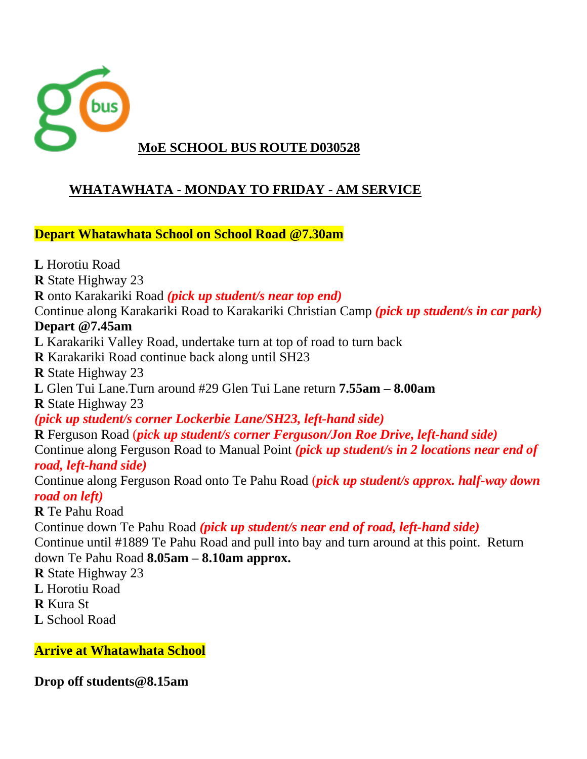

### **WHATAWHATA - MONDAY TO FRIDAY - AM SERVICE**

**Depart Whatawhata School on School Road @7.30am**

**L** Horotiu Road **R** State Highway 23 **R** onto Karakariki Road *(pick up student/s near top end)* Continue along Karakariki Road to Karakariki Christian Camp *(pick up student/s in car park)* **Depart @7.45am L** Karakariki Valley Road, undertake turn at top of road to turn back **R** Karakariki Road continue back along until SH23 **R** State Highway 23 **L** Glen Tui Lane.Turn around #29 Glen Tui Lane return **7.55am – 8.00am R** State Highway 23 *(pick up student/s corner Lockerbie Lane/SH23, left-hand side)* **R** Ferguson Road (*pick up student/s corner Ferguson/Jon Roe Drive, left-hand side)* Continue along Ferguson Road to Manual Point *(pick up student/s in 2 locations near end of road, left-hand side)* Continue along Ferguson Road onto Te Pahu Road (*pick up student/s approx. half-way down road on left)* **R** Te Pahu Road Continue down Te Pahu Road *(pick up student/s near end of road, left-hand side)* Continue until #1889 Te Pahu Road and pull into bay and turn around at this point. Return down Te Pahu Road **8.05am – 8.10am approx. R** State Highway 23 **L** Horotiu Road **R** Kura St **L** School Road

**Arrive at Whatawhata School**

**Drop off students@8.15am**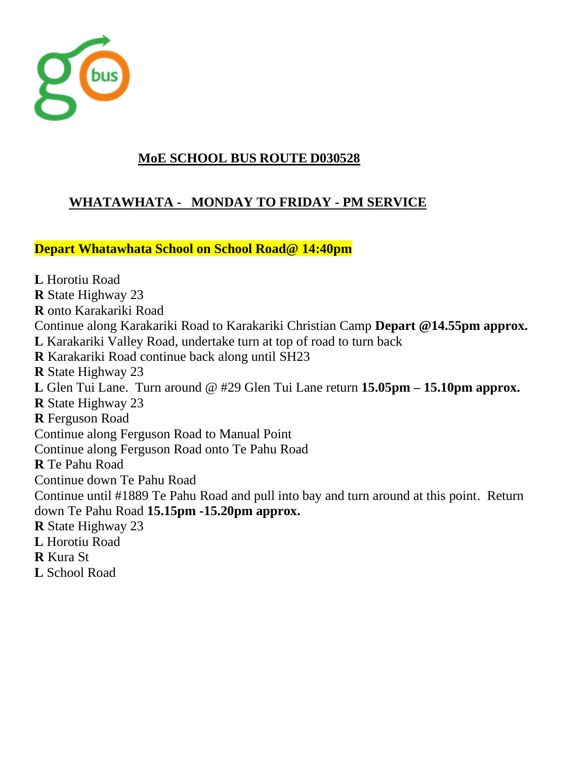

# **WHATAWHATA - MONDAY TO FRIDAY - PM SERVICE**

**Depart Whatawhata School on School Road@ 14:40pm**

**L** Horotiu Road **R** State Highway 23 **R** onto Karakariki Road Continue along Karakariki Road to Karakariki Christian Camp **Depart @14.55pm approx. L** Karakariki Valley Road, undertake turn at top of road to turn back **R** Karakariki Road continue back along until SH23 **R** State Highway 23 **L** Glen Tui Lane. Turn around @ #29 Glen Tui Lane return **15.05pm – 15.10pm approx. R** State Highway 23 **R** Ferguson Road Continue along Ferguson Road to Manual Point Continue along Ferguson Road onto Te Pahu Road **R** Te Pahu Road Continue down Te Pahu Road Continue until #1889 Te Pahu Road and pull into bay and turn around at this point. Return down Te Pahu Road **15.15pm -15.20pm approx. R** State Highway 23 **L** Horotiu Road **R** Kura St **L** School Road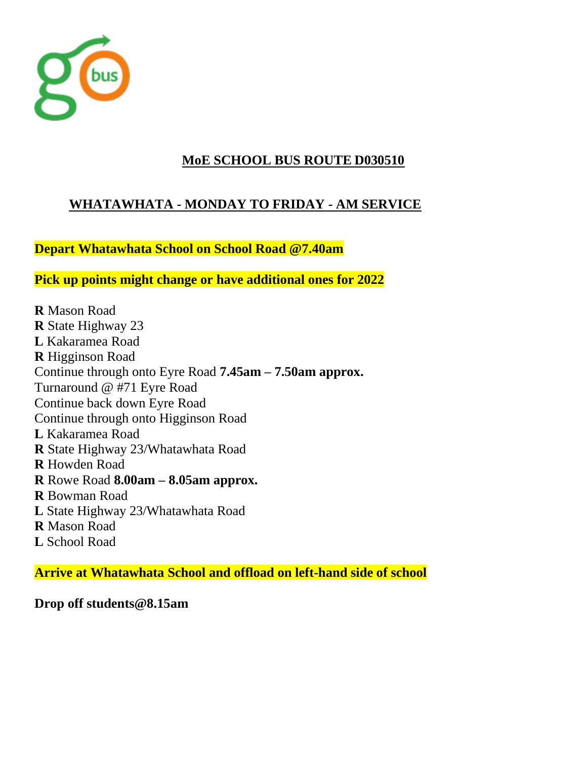

# **WHATAWHATA - MONDAY TO FRIDAY - AM SERVICE**

**Depart Whatawhata School on School Road @7.40am**

**Pick up points might change or have additional ones for 2022**

**R** Mason Road **R** State Highway 23 **L** Kakaramea Road **R** Higginson Road Continue through onto Eyre Road **7.45am – 7.50am approx.** Turnaround @ #71 Eyre Road Continue back down Eyre Road Continue through onto Higginson Road **L** Kakaramea Road **R** State Highway 23/Whatawhata Road **R** Howden Road **R** Rowe Road **8.00am – 8.05am approx. R** Bowman Road **L** State Highway 23/Whatawhata Road **R** Mason Road **L** School Road

**Arrive at Whatawhata School and offload on left-hand side of school**

**Drop off students@8.15am**